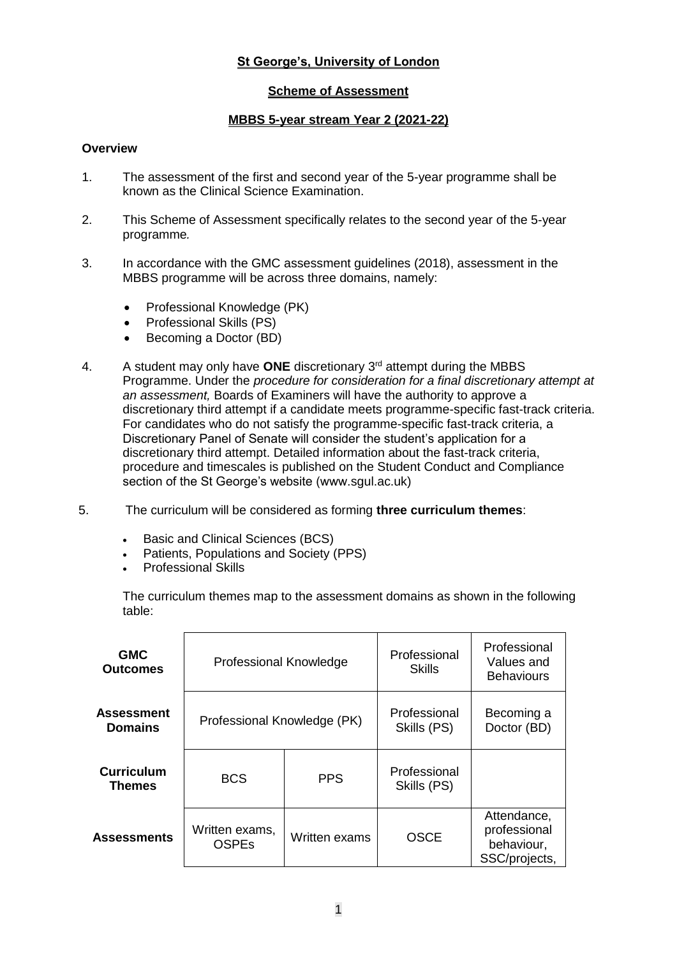# **St George's, University of London**

# **Scheme of Assessment**

## **MBBS 5-year stream Year 2 (2021-22)**

### **Overview**

- 1. The assessment of the first and second year of the 5-year programme shall be known as the Clinical Science Examination.
- 2. This Scheme of Assessment specifically relates to the second year of the 5-year programme*.*
- 3. In accordance with the GMC assessment guidelines (2018), assessment in the MBBS programme will be across three domains, namely:
	- Professional Knowledge (PK)
	- Professional Skills (PS)
	- Becoming a Doctor (BD)
- 4. A student may only have **ONE** discretionary 3rd attempt during the MBBS Programme. Under the *procedure for consideration for a final discretionary attempt at an assessment,* Boards of Examiners will have the authority to approve a discretionary third attempt if a candidate meets programme-specific fast-track criteria. For candidates who do not satisfy the programme-specific fast-track criteria, a Discretionary Panel of Senate will consider the student's application for a discretionary third attempt. Detailed information about the fast-track criteria, procedure and timescales is published on the Student Conduct and Compliance section of the St George's website (www.sgul.ac.uk)
- 5. The curriculum will be considered as forming **three curriculum themes**:
	- Basic and Clinical Sciences (BCS)
	- Patients, Populations and Society (PPS)
	- Professional Skills

The curriculum themes map to the assessment domains as shown in the following table:

| <b>GMC</b><br><b>Outcomes</b>       | <b>Professional Knowledge</b>  |               | Professional<br>Skills      | Professional<br>Values and<br><b>Behaviours</b>            |
|-------------------------------------|--------------------------------|---------------|-----------------------------|------------------------------------------------------------|
| <b>Assessment</b><br><b>Domains</b> | Professional Knowledge (PK)    |               | Professional<br>Skills (PS) | Becoming a<br>Doctor (BD)                                  |
| <b>Curriculum</b><br>Themes         | <b>BCS</b>                     | <b>PPS</b>    | Professional<br>Skills (PS) |                                                            |
| <b>Assessments</b>                  | Written exams,<br><b>OSPEs</b> | Written exams | <b>OSCE</b>                 | Attendance,<br>professional<br>behaviour,<br>SSC/projects, |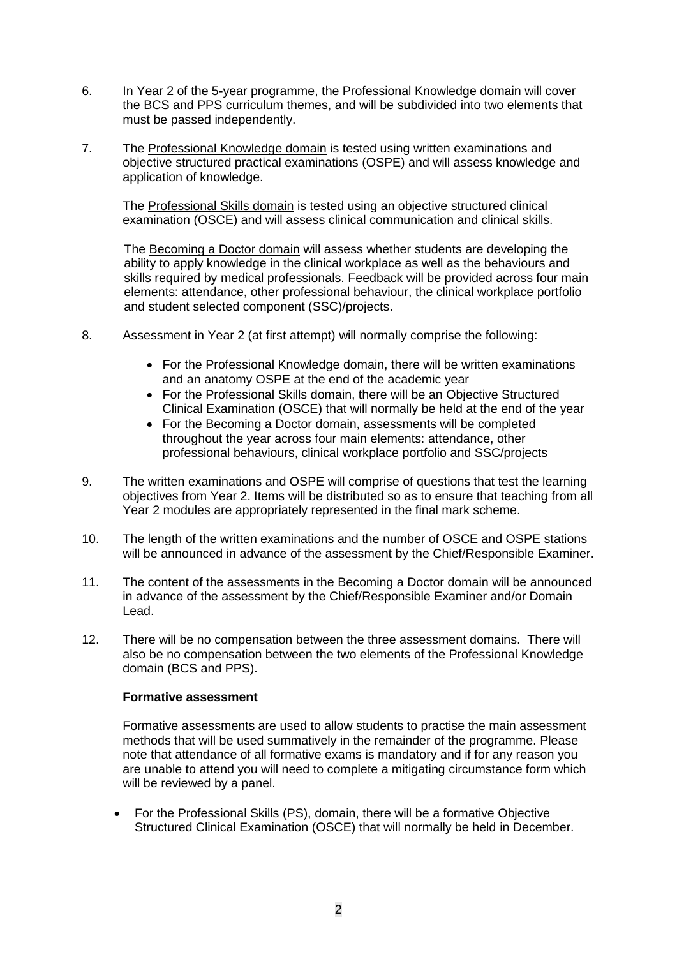- 6. In Year 2 of the 5-year programme, the Professional Knowledge domain will cover the BCS and PPS curriculum themes, and will be subdivided into two elements that must be passed independently.
- 7. The Professional Knowledge domain is tested using written examinations and objective structured practical examinations (OSPE) and will assess knowledge and application of knowledge.

The Professional Skills domain is tested using an objective structured clinical examination (OSCE) and will assess clinical communication and clinical skills.

The Becoming a Doctor domain will assess whether students are developing the ability to apply knowledge in the clinical workplace as well as the behaviours and skills required by medical professionals. Feedback will be provided across four main elements: attendance, other professional behaviour, the clinical workplace portfolio and student selected component (SSC)/projects.

- 8. Assessment in Year 2 (at first attempt) will normally comprise the following:
	- For the Professional Knowledge domain, there will be written examinations and an anatomy OSPE at the end of the academic year
	- For the Professional Skills domain, there will be an Objective Structured Clinical Examination (OSCE) that will normally be held at the end of the year
	- For the Becoming a Doctor domain, assessments will be completed throughout the year across four main elements: attendance, other professional behaviours, clinical workplace portfolio and SSC/projects
- 9. The written examinations and OSPE will comprise of questions that test the learning objectives from Year 2. Items will be distributed so as to ensure that teaching from all Year 2 modules are appropriately represented in the final mark scheme.
- 10. The length of the written examinations and the number of OSCE and OSPE stations will be announced in advance of the assessment by the Chief/Responsible Examiner.
- 11. The content of the assessments in the Becoming a Doctor domain will be announced in advance of the assessment by the Chief/Responsible Examiner and/or Domain Lead.
- 12. There will be no compensation between the three assessment domains. There will also be no compensation between the two elements of the Professional Knowledge domain (BCS and PPS).

#### **Formative assessment**

Formative assessments are used to allow students to practise the main assessment methods that will be used summatively in the remainder of the programme. Please note that attendance of all formative exams is mandatory and if for any reason you are unable to attend you will need to complete a mitigating circumstance form which will be reviewed by a panel.

• For the Professional Skills (PS), domain, there will be a formative Objective Structured Clinical Examination (OSCE) that will normally be held in December.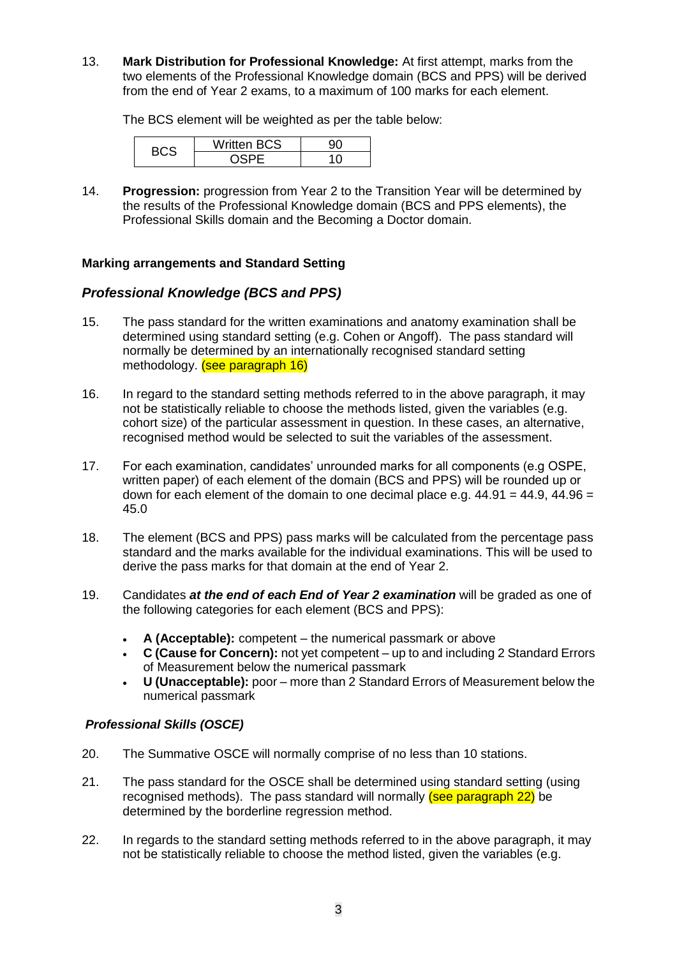13. **Mark Distribution for Professional Knowledge:** At first attempt, marks from the two elements of the Professional Knowledge domain (BCS and PPS) will be derived from the end of Year 2 exams, to a maximum of 100 marks for each element.

The BCS element will be weighted as per the table below:

| –יי | <b>Written BCS</b> |  |  |  |
|-----|--------------------|--|--|--|
|     |                    |  |  |  |

14. **Progression:** progression from Year 2 to the Transition Year will be determined by the results of the Professional Knowledge domain (BCS and PPS elements), the Professional Skills domain and the Becoming a Doctor domain.

# **Marking arrangements and Standard Setting**

# *Professional Knowledge (BCS and PPS)*

- 15. The pass standard for the written examinations and anatomy examination shall be determined using standard setting (e.g. Cohen or Angoff). The pass standard will normally be determined by an internationally recognised standard setting methodology. (see paragraph 16)
- 16. In regard to the standard setting methods referred to in the above paragraph, it may not be statistically reliable to choose the methods listed, given the variables (e.g. cohort size) of the particular assessment in question. In these cases, an alternative, recognised method would be selected to suit the variables of the assessment.
- 17. For each examination, candidates' unrounded marks for all components (e.g OSPE, written paper) of each element of the domain (BCS and PPS) will be rounded up or down for each element of the domain to one decimal place e.g.  $44.91 = 44.9$ ,  $44.96 =$ 45.0
- 18. The element (BCS and PPS) pass marks will be calculated from the percentage pass standard and the marks available for the individual examinations. This will be used to derive the pass marks for that domain at the end of Year 2.
- 19. Candidates *at the end of each End of Year 2 examination* will be graded as one of the following categories for each element (BCS and PPS):
	- **A (Acceptable):** competent the numerical passmark or above
	- **C (Cause for Concern):** not yet competent up to and including 2 Standard Errors of Measurement below the numerical passmark
	- **U (Unacceptable):** poor more than 2 Standard Errors of Measurement below the numerical passmark

### *Professional Skills (OSCE)*

- 20. The Summative OSCE will normally comprise of no less than 10 stations.
- 21. The pass standard for the OSCE shall be determined using standard setting (using recognised methods). The pass standard will normally (see paragraph 22) be determined by the borderline regression method.
- 22. In regards to the standard setting methods referred to in the above paragraph, it may not be statistically reliable to choose the method listed, given the variables (e.g.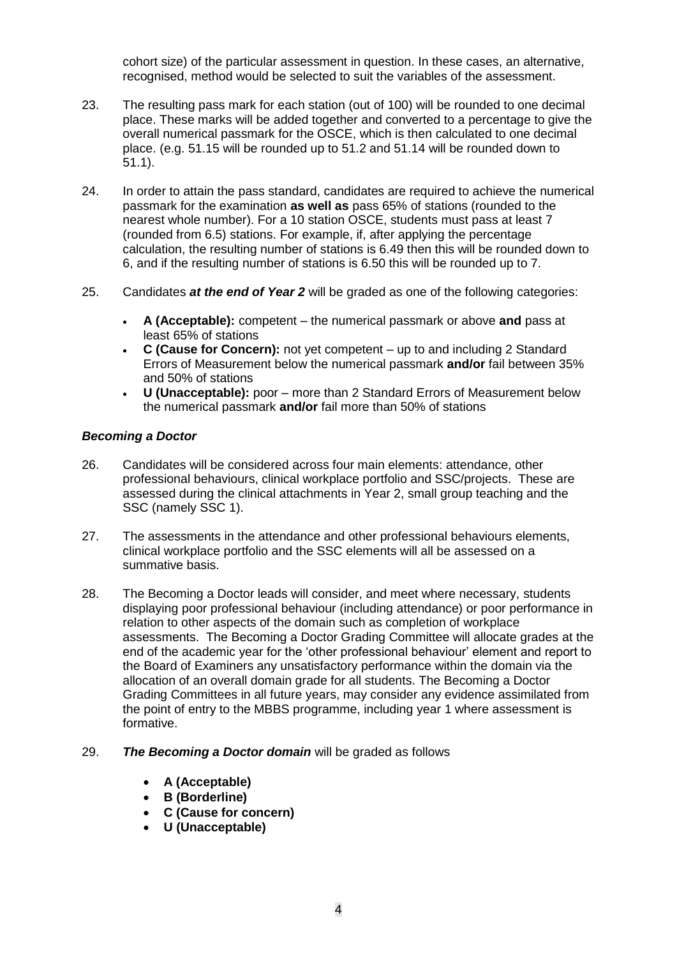cohort size) of the particular assessment in question. In these cases, an alternative, recognised, method would be selected to suit the variables of the assessment.

- 23. The resulting pass mark for each station (out of 100) will be rounded to one decimal place. These marks will be added together and converted to a percentage to give the overall numerical passmark for the OSCE, which is then calculated to one decimal place. (e.g. 51.15 will be rounded up to 51.2 and 51.14 will be rounded down to 51.1).
- 24. In order to attain the pass standard, candidates are required to achieve the numerical passmark for the examination **as well as** pass 65% of stations (rounded to the nearest whole number). For a 10 station OSCE, students must pass at least 7 (rounded from 6.5) stations. For example, if, after applying the percentage calculation, the resulting number of stations is 6.49 then this will be rounded down to 6, and if the resulting number of stations is 6.50 this will be rounded up to 7.
- 25. Candidates *at the end of Year 2* will be graded as one of the following categories:
	- **A (Acceptable):** competent the numerical passmark or above **and** pass at least 65% of stations
	- **C (Cause for Concern):** not yet competent up to and including 2 Standard Errors of Measurement below the numerical passmark **and/or** fail between 35% and 50% of stations
	- **U (Unacceptable):** poor more than 2 Standard Errors of Measurement below the numerical passmark **and/or** fail more than 50% of stations

# *Becoming a Doctor*

- 26. Candidates will be considered across four main elements: attendance, other professional behaviours, clinical workplace portfolio and SSC/projects. These are assessed during the clinical attachments in Year 2, small group teaching and the SSC (namely SSC 1).
- 27. The assessments in the attendance and other professional behaviours elements, clinical workplace portfolio and the SSC elements will all be assessed on a summative basis.
- 28. The Becoming a Doctor leads will consider, and meet where necessary, students displaying poor professional behaviour (including attendance) or poor performance in relation to other aspects of the domain such as completion of workplace assessments. The Becoming a Doctor Grading Committee will allocate grades at the end of the academic year for the 'other professional behaviour' element and report to the Board of Examiners any unsatisfactory performance within the domain via the allocation of an overall domain grade for all students. The Becoming a Doctor Grading Committees in all future years, may consider any evidence assimilated from the point of entry to the MBBS programme, including year 1 where assessment is formative.

#### 29. *The Becoming a Doctor domain* will be graded as follows

- **A (Acceptable)**
- **B (Borderline)**
- **C (Cause for concern)**
- **U (Unacceptable)**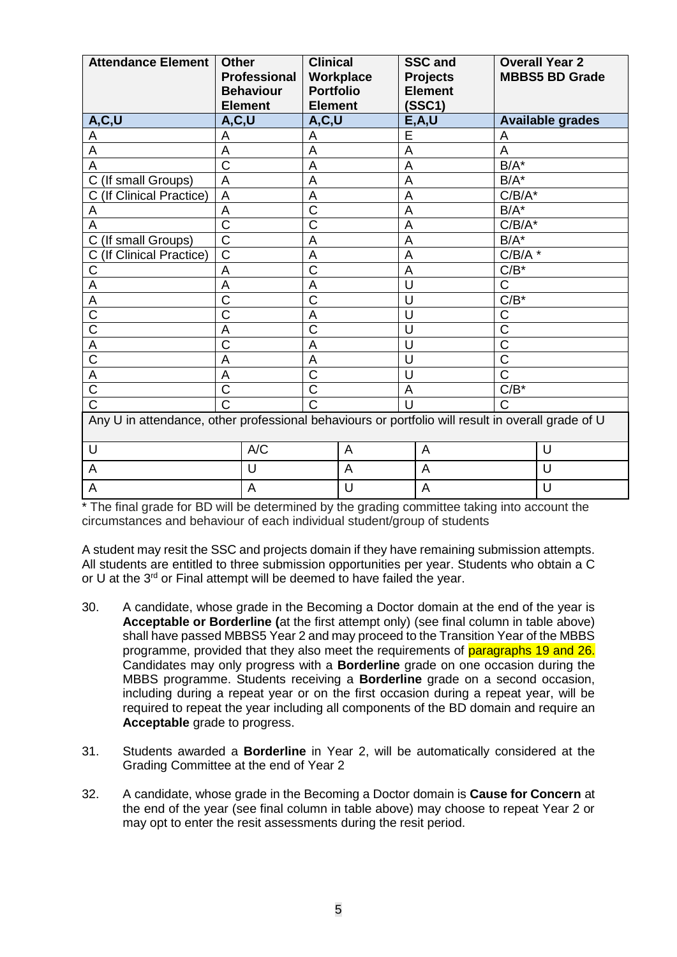| <b>Attendance Element</b>                                                                         | <b>Other</b><br><b>Professional</b><br><b>Behaviour</b><br><b>Element</b> | <b>Clinical</b><br><b>Portfolio</b><br><b>Element</b> | Workplace |                | <b>SSC and</b><br><b>Projects</b><br><b>Element</b><br>(SSC1) |                         | <b>Overall Year 2</b><br><b>MBBS5 BD Grade</b> |
|---------------------------------------------------------------------------------------------------|---------------------------------------------------------------------------|-------------------------------------------------------|-----------|----------------|---------------------------------------------------------------|-------------------------|------------------------------------------------|
| A, C, U                                                                                           | A, C, U                                                                   |                                                       | A, C, U   |                | E, A, U                                                       | <b>Available grades</b> |                                                |
| A                                                                                                 | A                                                                         | A                                                     |           |                |                                                               | A                       |                                                |
| Α                                                                                                 | A                                                                         | A                                                     |           |                |                                                               | A                       |                                                |
| A                                                                                                 | C                                                                         | A                                                     |           |                |                                                               | $B/A^*$                 |                                                |
| C (If small Groups)                                                                               | A                                                                         | A                                                     |           | $\overline{A}$ |                                                               | $B/A^*$                 |                                                |
| (If Clinical Practice)<br>C.                                                                      | A                                                                         | A                                                     |           | A              |                                                               | $C/B/A^*$               |                                                |
| A                                                                                                 | A                                                                         | C                                                     |           | $\overline{A}$ |                                                               | $B/A^*$                 |                                                |
| Α                                                                                                 | $\overline{\text{C}}$                                                     | $\overline{C}$                                        |           | A              |                                                               | $C/B/A^*$               |                                                |
| (If small Groups)<br>С                                                                            | C                                                                         | A                                                     |           | A              |                                                               | $B/A^*$                 |                                                |
| (If Clinical Practice)<br>С                                                                       | $\overline{\text{C}}$                                                     | A                                                     |           | A              |                                                               | $C/B/A$ <sup>*</sup>    |                                                |
| C                                                                                                 | A                                                                         | C                                                     |           | A              |                                                               | $C/B^*$                 |                                                |
| Α                                                                                                 | A                                                                         | A                                                     |           | U              |                                                               | $\mathsf C$             |                                                |
| A                                                                                                 | C                                                                         | Ć                                                     |           | U              |                                                               | $C/B^*$                 |                                                |
| C                                                                                                 | C                                                                         | A                                                     |           | U              |                                                               | С                       |                                                |
| $\overline{\text{c}}$                                                                             | A                                                                         | Ć                                                     |           | U              |                                                               | C                       |                                                |
| Α                                                                                                 | Ć                                                                         | A                                                     |           | U              |                                                               | C                       |                                                |
| Ć                                                                                                 | A                                                                         | A                                                     |           | U              |                                                               | C                       |                                                |
| A                                                                                                 | A                                                                         | $\overline{C}$                                        |           | U              |                                                               | C                       |                                                |
| $\overline{\text{C}}$                                                                             | Ċ                                                                         | C                                                     |           | A              |                                                               | $C/B^*$                 |                                                |
| Ć                                                                                                 | Ć                                                                         | C                                                     |           | U              |                                                               | $\mathsf{C}$            |                                                |
| Any U in attendance, other professional behaviours or portfolio will result in overall grade of U |                                                                           |                                                       |           |                |                                                               |                         |                                                |
| U                                                                                                 | A/C                                                                       |                                                       | A         |                | A                                                             |                         | $\cup$                                         |
| A                                                                                                 | $\cup$                                                                    |                                                       | A         |                | A                                                             |                         | U                                              |
| A                                                                                                 | A                                                                         |                                                       |           | A              |                                                               |                         | U                                              |

\* The final grade for BD will be determined by the grading committee taking into account the circumstances and behaviour of each individual student/group of students

A student may resit the SSC and projects domain if they have remaining submission attempts. All students are entitled to three submission opportunities per year. Students who obtain a C or U at the 3<sup>rd</sup> or Final attempt will be deemed to have failed the year.

- 30. A candidate, whose grade in the Becoming a Doctor domain at the end of the year is **Acceptable or Borderline (**at the first attempt only) (see final column in table above) shall have passed MBBS5 Year 2 and may proceed to the Transition Year of the MBBS programme, provided that they also meet the requirements of paragraphs 19 and 26. Candidates may only progress with a **Borderline** grade on one occasion during the MBBS programme. Students receiving a **Borderline** grade on a second occasion, including during a repeat year or on the first occasion during a repeat year, will be required to repeat the year including all components of the BD domain and require an **Acceptable** grade to progress.
- 31. Students awarded a **Borderline** in Year 2, will be automatically considered at the Grading Committee at the end of Year 2
- 32. A candidate, whose grade in the Becoming a Doctor domain is **Cause for Concern** at the end of the year (see final column in table above) may choose to repeat Year 2 or may opt to enter the resit assessments during the resit period.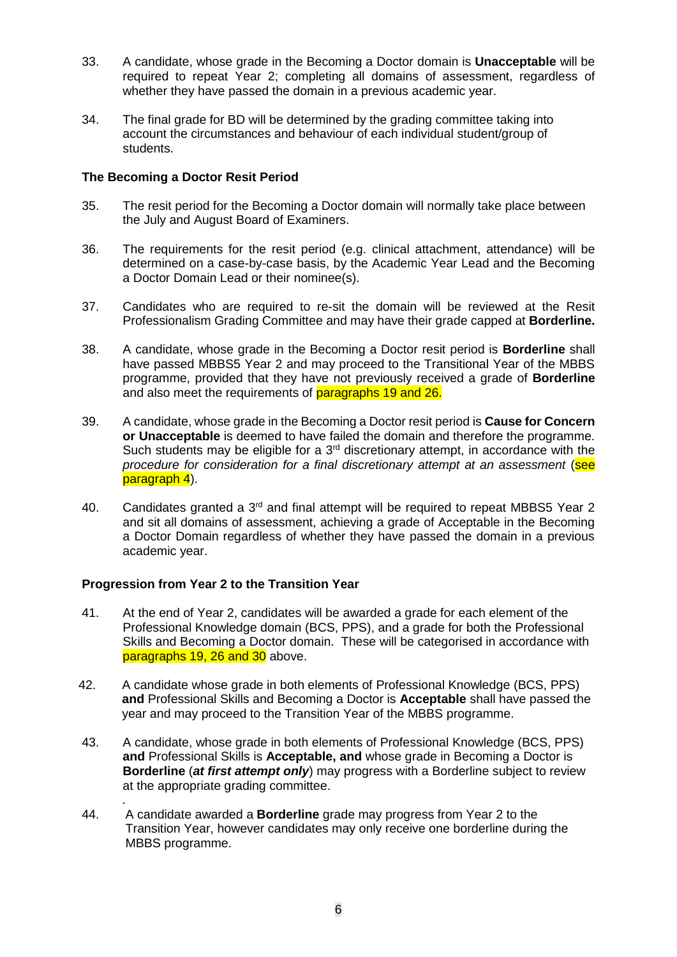- 33. A candidate, whose grade in the Becoming a Doctor domain is **Unacceptable** will be required to repeat Year 2; completing all domains of assessment, regardless of whether they have passed the domain in a previous academic year.
- 34. The final grade for BD will be determined by the grading committee taking into account the circumstances and behaviour of each individual student/group of students.

### **The Becoming a Doctor Resit Period**

- 35. The resit period for the Becoming a Doctor domain will normally take place between the July and August Board of Examiners.
- 36. The requirements for the resit period (e.g. clinical attachment, attendance) will be determined on a case-by-case basis, by the Academic Year Lead and the Becoming a Doctor Domain Lead or their nominee(s).
- 37. Candidates who are required to re-sit the domain will be reviewed at the Resit Professionalism Grading Committee and may have their grade capped at **Borderline.**
- 38. A candidate, whose grade in the Becoming a Doctor resit period is **Borderline** shall have passed MBBS5 Year 2 and may proceed to the Transitional Year of the MBBS programme, provided that they have not previously received a grade of **Borderline** and also meet the requirements of paragraphs 19 and 26.
- 39. A candidate, whose grade in the Becoming a Doctor resit period is **Cause for Concern or Unacceptable** is deemed to have failed the domain and therefore the programme. Such students may be eligible for a  $3<sup>rd</sup>$  discretionary attempt, in accordance with the *procedure for consideration for a final discretionary attempt at an assessment* (see paragraph 4).
- 40. Candidates granted a 3<sup>rd</sup> and final attempt will be required to repeat MBBS5 Year 2 and sit all domains of assessment, achieving a grade of Acceptable in the Becoming a Doctor Domain regardless of whether they have passed the domain in a previous academic year.

### **Progression from Year 2 to the Transition Year**

- 41. At the end of Year 2, candidates will be awarded a grade for each element of the Professional Knowledge domain (BCS, PPS), and a grade for both the Professional Skills and Becoming a Doctor domain. These will be categorised in accordance with paragraphs 19, 26 and 30 above.
- 42. A candidate whose grade in both elements of Professional Knowledge (BCS, PPS) **and** Professional Skills and Becoming a Doctor is **Acceptable** shall have passed the year and may proceed to the Transition Year of the MBBS programme.
- 43. A candidate, whose grade in both elements of Professional Knowledge (BCS, PPS) **and** Professional Skills is **Acceptable, and** whose grade in Becoming a Doctor is **Borderline** (*at first attempt only*) may progress with a Borderline subject to review at the appropriate grading committee.
- . 44. A candidate awarded a **Borderline** grade may progress from Year 2 to the Transition Year, however candidates may only receive one borderline during the MBBS programme.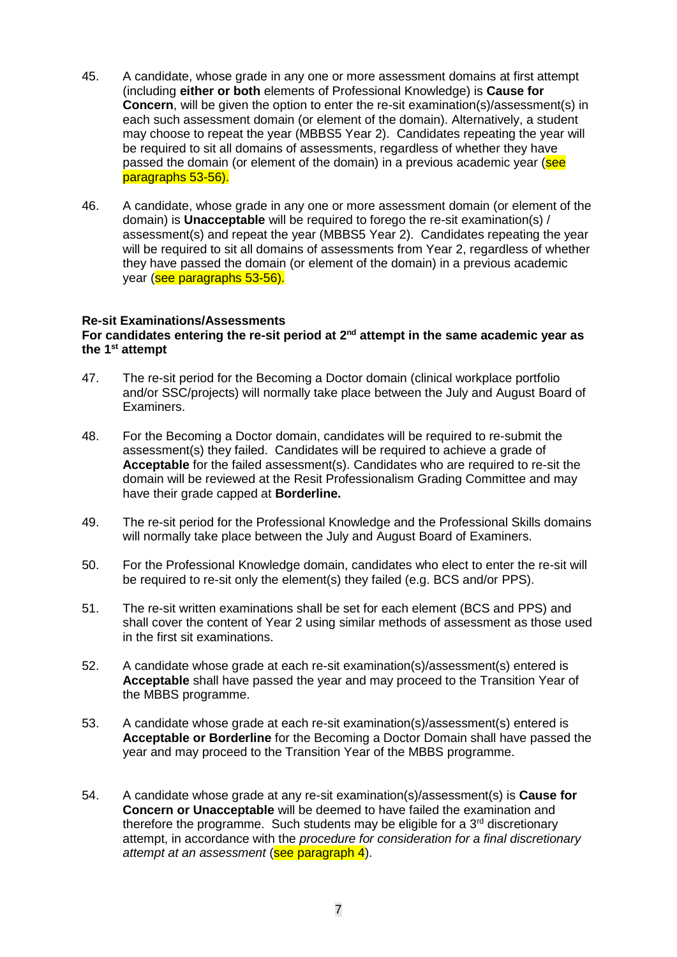- 45. A candidate, whose grade in any one or more assessment domains at first attempt (including **either or both** elements of Professional Knowledge) is **Cause for Concern**, will be given the option to enter the re-sit examination(s)/assessment(s) in each such assessment domain (or element of the domain). Alternatively, a student may choose to repeat the year (MBBS5 Year 2). Candidates repeating the year will be required to sit all domains of assessments, regardless of whether they have passed the domain (or element of the domain) in a previous academic year (see paragraphs 53-56).
- 46. A candidate, whose grade in any one or more assessment domain (or element of the domain) is **Unacceptable** will be required to forego the re-sit examination(s) / assessment(s) and repeat the year (MBBS5 Year 2). Candidates repeating the year will be required to sit all domains of assessments from Year 2, regardless of whether they have passed the domain (or element of the domain) in a previous academic year (see paragraphs 53-56).

#### **Re-sit Examinations/Assessments**

#### **For candidates entering the re-sit period at 2nd attempt in the same academic year as the 1st attempt**

- 47. The re-sit period for the Becoming a Doctor domain (clinical workplace portfolio and/or SSC/projects) will normally take place between the July and August Board of Examiners.
- 48. For the Becoming a Doctor domain, candidates will be required to re-submit the assessment(s) they failed. Candidates will be required to achieve a grade of **Acceptable** for the failed assessment(s). Candidates who are required to re-sit the domain will be reviewed at the Resit Professionalism Grading Committee and may have their grade capped at **Borderline.**
- 49. The re-sit period for the Professional Knowledge and the Professional Skills domains will normally take place between the July and August Board of Examiners.
- 50. For the Professional Knowledge domain, candidates who elect to enter the re-sit will be required to re-sit only the element(s) they failed (e.g. BCS and/or PPS).
- 51. The re-sit written examinations shall be set for each element (BCS and PPS) and shall cover the content of Year 2 using similar methods of assessment as those used in the first sit examinations.
- 52. A candidate whose grade at each re-sit examination(s)/assessment(s) entered is **Acceptable** shall have passed the year and may proceed to the Transition Year of the MBBS programme.
- 53. A candidate whose grade at each re-sit examination(s)/assessment(s) entered is **Acceptable or Borderline** for the Becoming a Doctor Domain shall have passed the year and may proceed to the Transition Year of the MBBS programme.
- 54. A candidate whose grade at any re-sit examination(s)/assessment(s) is **Cause for Concern or Unacceptable** will be deemed to have failed the examination and therefore the programme. Such students may be eligible for a  $3<sup>rd</sup>$  discretionary attempt, in accordance with the *procedure for consideration for a final discretionary attempt at an assessment* (see paragraph 4).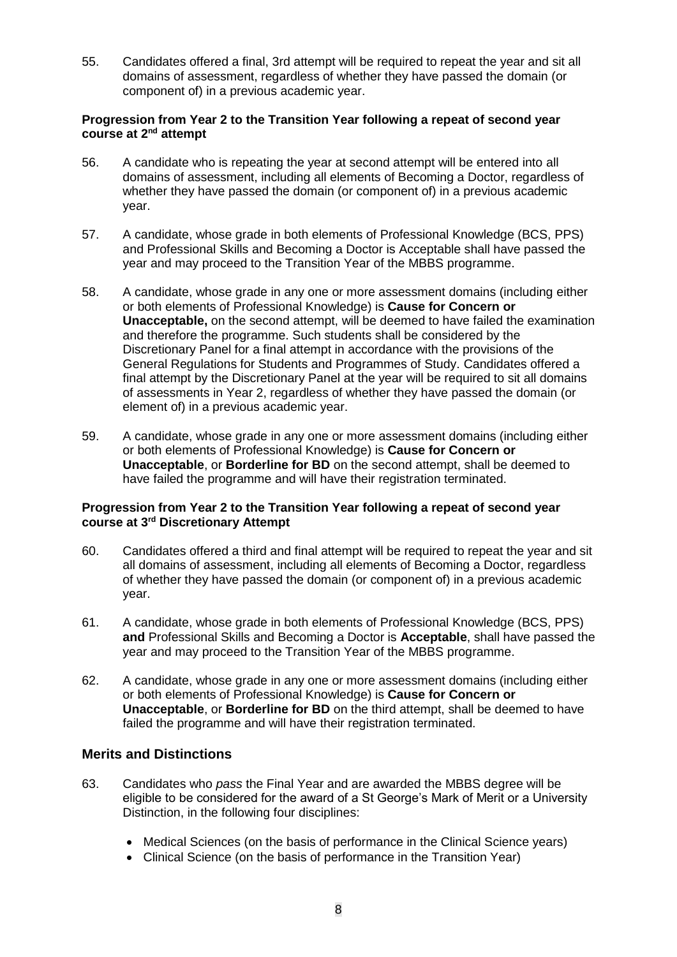55. Candidates offered a final, 3rd attempt will be required to repeat the year and sit all domains of assessment, regardless of whether they have passed the domain (or component of) in a previous academic year.

### **Progression from Year 2 to the Transition Year following a repeat of second year course at 2nd attempt**

- 56. A candidate who is repeating the year at second attempt will be entered into all domains of assessment, including all elements of Becoming a Doctor, regardless of whether they have passed the domain (or component of) in a previous academic year.
- 57. A candidate, whose grade in both elements of Professional Knowledge (BCS, PPS) and Professional Skills and Becoming a Doctor is Acceptable shall have passed the year and may proceed to the Transition Year of the MBBS programme.
- 58. A candidate, whose grade in any one or more assessment domains (including either or both elements of Professional Knowledge) is **Cause for Concern or Unacceptable,** on the second attempt, will be deemed to have failed the examination and therefore the programme. Such students shall be considered by the Discretionary Panel for a final attempt in accordance with the provisions of the General Regulations for Students and Programmes of Study. Candidates offered a final attempt by the Discretionary Panel at the year will be required to sit all domains of assessments in Year 2, regardless of whether they have passed the domain (or element of) in a previous academic year.
- 59. A candidate, whose grade in any one or more assessment domains (including either or both elements of Professional Knowledge) is **Cause for Concern or Unacceptable**, or **Borderline for BD** on the second attempt, shall be deemed to have failed the programme and will have their registration terminated.

### **Progression from Year 2 to the Transition Year following a repeat of second year course at 3rd Discretionary Attempt**

- 60. Candidates offered a third and final attempt will be required to repeat the year and sit all domains of assessment, including all elements of Becoming a Doctor, regardless of whether they have passed the domain (or component of) in a previous academic year.
- 61. A candidate, whose grade in both elements of Professional Knowledge (BCS, PPS) **and** Professional Skills and Becoming a Doctor is **Acceptable**, shall have passed the year and may proceed to the Transition Year of the MBBS programme.
- 62. A candidate, whose grade in any one or more assessment domains (including either or both elements of Professional Knowledge) is **Cause for Concern or Unacceptable**, or **Borderline for BD** on the third attempt, shall be deemed to have failed the programme and will have their registration terminated.

# **Merits and Distinctions**

- 63. Candidates who *pass* the Final Year and are awarded the MBBS degree will be eligible to be considered for the award of a St George's Mark of Merit or a University Distinction, in the following four disciplines:
	- Medical Sciences (on the basis of performance in the Clinical Science years)
	- Clinical Science (on the basis of performance in the Transition Year)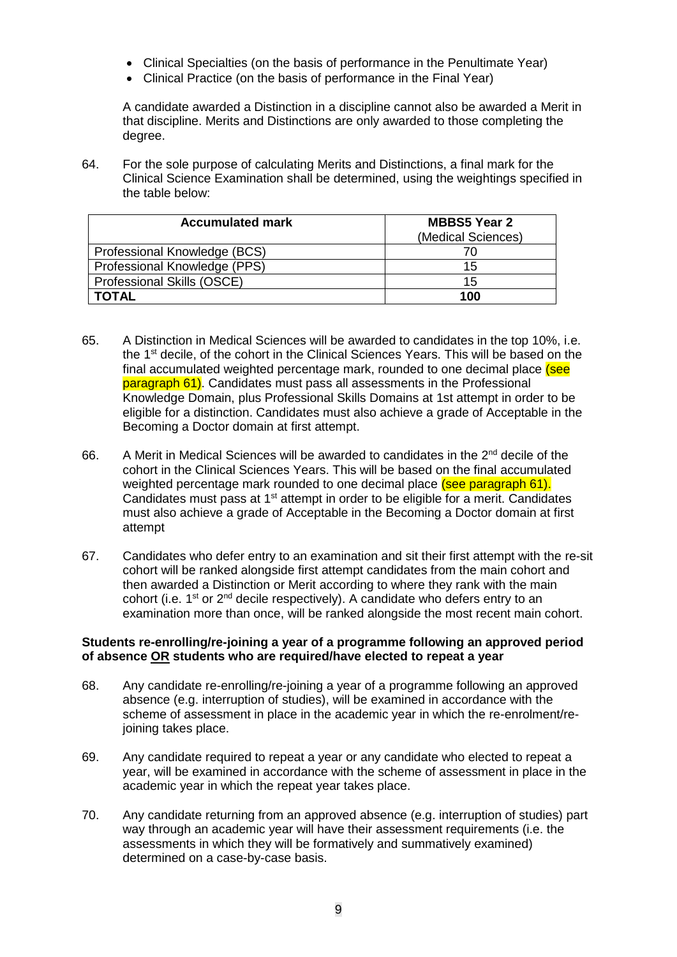- Clinical Specialties (on the basis of performance in the Penultimate Year)
- Clinical Practice (on the basis of performance in the Final Year)

A candidate awarded a Distinction in a discipline cannot also be awarded a Merit in that discipline. Merits and Distinctions are only awarded to those completing the degree.

64. For the sole purpose of calculating Merits and Distinctions, a final mark for the Clinical Science Examination shall be determined, using the weightings specified in the table below:

| <b>Accumulated mark</b>      | <b>MBBS5 Year 2</b><br>(Medical Sciences) |  |  |
|------------------------------|-------------------------------------------|--|--|
| Professional Knowledge (BCS) |                                           |  |  |
| Professional Knowledge (PPS) | 15                                        |  |  |
| Professional Skills (OSCE)   | 15                                        |  |  |
| <b>TOTAL</b>                 | 100                                       |  |  |

- 65. A Distinction in Medical Sciences will be awarded to candidates in the top 10%, i.e. the 1<sup>st</sup> decile, of the cohort in the Clinical Sciences Years. This will be based on the final accumulated weighted percentage mark, rounded to one decimal place (see paragraph 61). Candidates must pass all assessments in the Professional Knowledge Domain, plus Professional Skills Domains at 1st attempt in order to be eligible for a distinction. Candidates must also achieve a grade of Acceptable in the Becoming a Doctor domain at first attempt.
- 66. A Merit in Medical Sciences will be awarded to candidates in the 2nd decile of the cohort in the Clinical Sciences Years. This will be based on the final accumulated weighted percentage mark rounded to one decimal place (see paragraph 61). Candidates must pass at 1<sup>st</sup> attempt in order to be eligible for a merit. Candidates must also achieve a grade of Acceptable in the Becoming a Doctor domain at first attempt
- 67. Candidates who defer entry to an examination and sit their first attempt with the re-sit cohort will be ranked alongside first attempt candidates from the main cohort and then awarded a Distinction or Merit according to where they rank with the main cohort (i.e.  $1^{st}$  or  $2^{nd}$  decile respectively). A candidate who defers entry to an examination more than once, will be ranked alongside the most recent main cohort.

### **Students re-enrolling/re-joining a year of a programme following an approved period of absence OR students who are required/have elected to repeat a year**

- 68. Any candidate re-enrolling/re-joining a year of a programme following an approved absence (e.g. interruption of studies), will be examined in accordance with the scheme of assessment in place in the academic year in which the re-enrolment/rejoining takes place.
- 69. Any candidate required to repeat a year or any candidate who elected to repeat a year, will be examined in accordance with the scheme of assessment in place in the academic year in which the repeat year takes place.
- 70. Any candidate returning from an approved absence (e.g. interruption of studies) part way through an academic year will have their assessment requirements (i.e. the assessments in which they will be formatively and summatively examined) determined on a case-by-case basis.